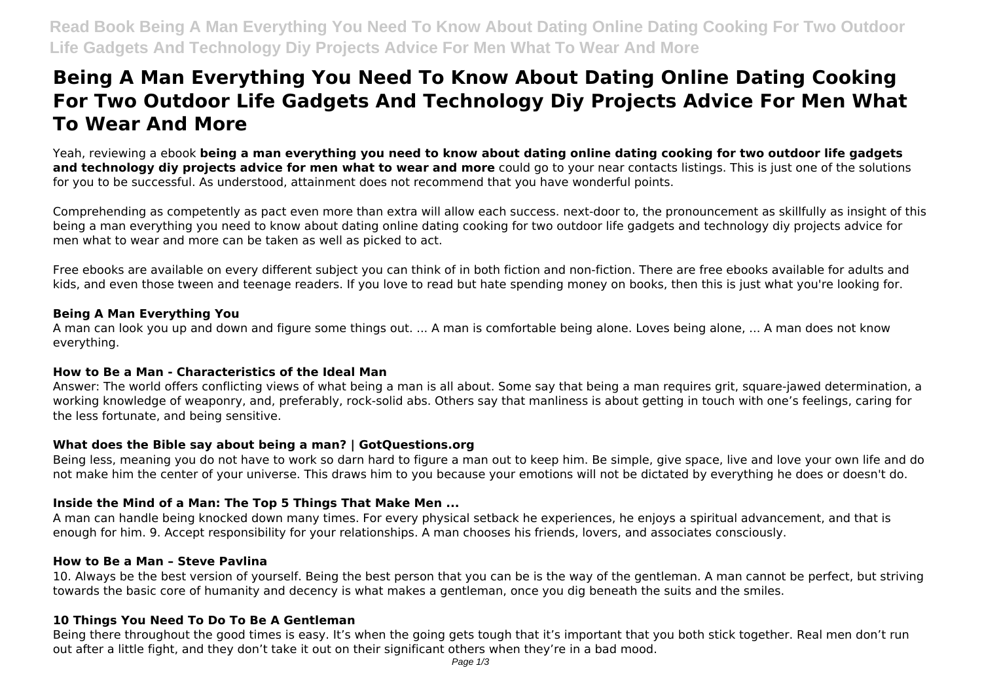# **Being A Man Everything You Need To Know About Dating Online Dating Cooking For Two Outdoor Life Gadgets And Technology Diy Projects Advice For Men What To Wear And More**

Yeah, reviewing a ebook **being a man everything you need to know about dating online dating cooking for two outdoor life gadgets and technology diy projects advice for men what to wear and more** could go to your near contacts listings. This is just one of the solutions for you to be successful. As understood, attainment does not recommend that you have wonderful points.

Comprehending as competently as pact even more than extra will allow each success. next-door to, the pronouncement as skillfully as insight of this being a man everything you need to know about dating online dating cooking for two outdoor life gadgets and technology diy projects advice for men what to wear and more can be taken as well as picked to act.

Free ebooks are available on every different subject you can think of in both fiction and non-fiction. There are free ebooks available for adults and kids, and even those tween and teenage readers. If you love to read but hate spending money on books, then this is just what you're looking for.

#### **Being A Man Everything You**

A man can look you up and down and figure some things out. ... A man is comfortable being alone. Loves being alone, ... A man does not know everything.

# **How to Be a Man - Characteristics of the Ideal Man**

Answer: The world offers conflicting views of what being a man is all about. Some say that being a man requires grit, square-jawed determination, a working knowledge of weaponry, and, preferably, rock-solid abs. Others say that manliness is about getting in touch with one's feelings, caring for the less fortunate, and being sensitive.

# **What does the Bible say about being a man? | GotQuestions.org**

Being less, meaning you do not have to work so darn hard to figure a man out to keep him. Be simple, give space, live and love your own life and do not make him the center of your universe. This draws him to you because your emotions will not be dictated by everything he does or doesn't do.

# **Inside the Mind of a Man: The Top 5 Things That Make Men ...**

A man can handle being knocked down many times. For every physical setback he experiences, he enjoys a spiritual advancement, and that is enough for him. 9. Accept responsibility for your relationships. A man chooses his friends, lovers, and associates consciously.

# **How to Be a Man – Steve Pavlina**

10. Always be the best version of yourself. Being the best person that you can be is the way of the gentleman. A man cannot be perfect, but striving towards the basic core of humanity and decency is what makes a gentleman, once you dig beneath the suits and the smiles.

# **10 Things You Need To Do To Be A Gentleman**

Being there throughout the good times is easy. It's when the going gets tough that it's important that you both stick together. Real men don't run out after a little fight, and they don't take it out on their significant others when they're in a bad mood.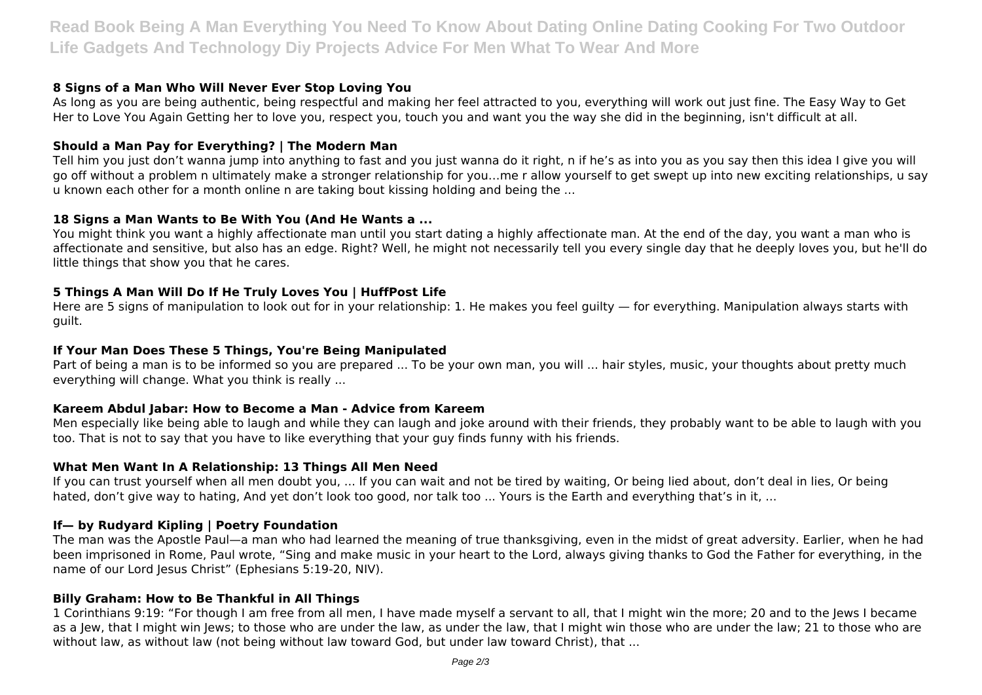**Read Book Being A Man Everything You Need To Know About Dating Online Dating Cooking For Two Outdoor Life Gadgets And Technology Diy Projects Advice For Men What To Wear And More**

# **8 Signs of a Man Who Will Never Ever Stop Loving You**

As long as you are being authentic, being respectful and making her feel attracted to you, everything will work out just fine. The Easy Way to Get Her to Love You Again Getting her to love you, respect you, touch you and want you the way she did in the beginning, isn't difficult at all.

## **Should a Man Pay for Everything? | The Modern Man**

Tell him you just don't wanna jump into anything to fast and you just wanna do it right, n if he's as into you as you say then this idea I give you will go off without a problem n ultimately make a stronger relationship for you…me r allow yourself to get swept up into new exciting relationships, u say u known each other for a month online n are taking bout kissing holding and being the ...

#### **18 Signs a Man Wants to Be With You (And He Wants a ...**

You might think you want a highly affectionate man until you start dating a highly affectionate man. At the end of the day, you want a man who is affectionate and sensitive, but also has an edge. Right? Well, he might not necessarily tell you every single day that he deeply loves you, but he'll do little things that show you that he cares.

#### **5 Things A Man Will Do If He Truly Loves You | HuffPost Life**

Here are 5 signs of manipulation to look out for in your relationship: 1. He makes you feel guilty — for everything. Manipulation always starts with guilt.

#### **If Your Man Does These 5 Things, You're Being Manipulated**

Part of being a man is to be informed so you are prepared ... To be your own man, you will ... hair styles, music, your thoughts about pretty much everything will change. What you think is really ...

#### **Kareem Abdul Jabar: How to Become a Man - Advice from Kareem**

Men especially like being able to laugh and while they can laugh and joke around with their friends, they probably want to be able to laugh with you too. That is not to say that you have to like everything that your guy finds funny with his friends.

#### **What Men Want In A Relationship: 13 Things All Men Need**

If you can trust yourself when all men doubt you, ... If you can wait and not be tired by waiting, Or being lied about, don't deal in lies, Or being hated, don't give way to hating, And yet don't look too good, nor talk too ... Yours is the Earth and everything that's in it, ...

#### **If— by Rudyard Kipling | Poetry Foundation**

The man was the Apostle Paul—a man who had learned the meaning of true thanksgiving, even in the midst of great adversity. Earlier, when he had been imprisoned in Rome, Paul wrote, "Sing and make music in your heart to the Lord, always giving thanks to God the Father for everything, in the name of our Lord Jesus Christ" (Ephesians 5:19-20, NIV).

#### **Billy Graham: How to Be Thankful in All Things**

1 Corinthians 9:19: "For though I am free from all men, I have made myself a servant to all, that I might win the more; 20 and to the Jews I became as a Jew, that I might win Jews; to those who are under the law, as under the law, that I might win those who are under the law; 21 to those who are without law, as without law (not being without law toward God, but under law toward Christ), that ...